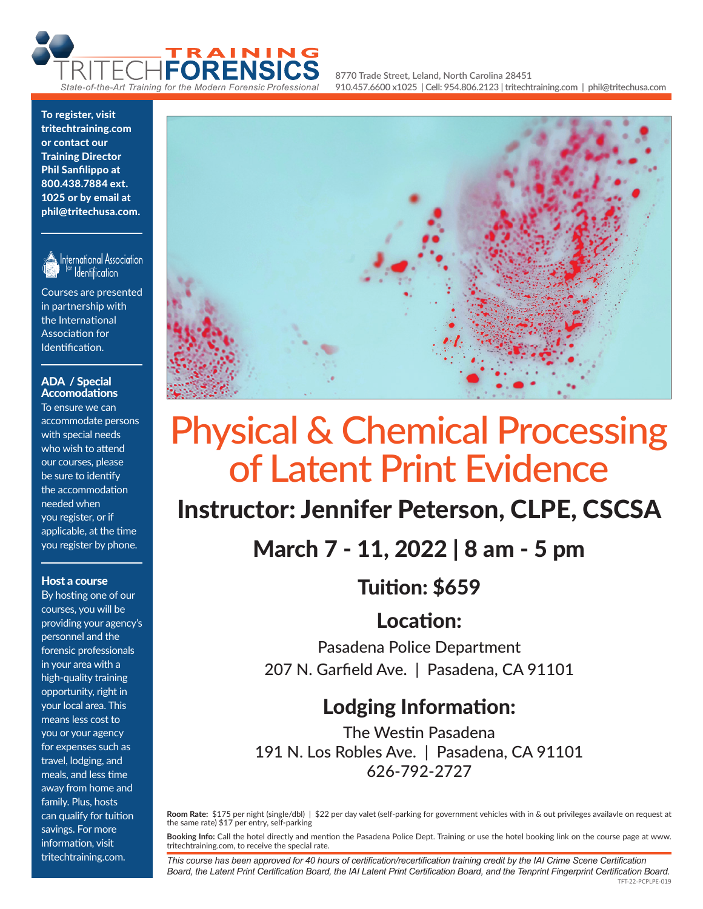

**8770 Trade Street, Leland, North Carolina 28451 910.457.6600 x1025 | Cell: 954.806.2123 | tritechtraining.com | phil@tritechusa.com**

#### To register, visit tritechtraining.com or contact our Training Director Phil Sanfilippo at 800.438.7884 ext. 1025 or by email at phil@tritechusa.com.



International Association Identification

Courses are presented in partnership with the International Association for Identification.

#### ADA / Special Accomodations

To ensure we can accommodate persons with special needs who wish to attend our courses, please be sure to identify the accommodation needed when you register, or if applicable, at the time you register by phone.

#### Host a course

By hosting one of our courses, you will be providing your agency's personnel and the forensic professionals in your area with a high-quality training opportunity, right in your local area. This means less cost to you or your agency for expenses such as travel, lodging, and meals, and less time away from home and family. Plus, hosts can qualify for tuition savings. For more information, visit tritechtraining.com.



# Physical & Chemical Processing of Latent Print Evidence

# Instructor: Jennifer Peterson, CLPE, CSCSA

March 7 - 11, 2022 | 8 am - 5 pm

Tuition: \$659

Location:

Pasadena Police Department 207 N. Garfield Ave. | Pasadena, CA 91101

## Lodging Information:

The Westin Pasadena 191 N. Los Robles Ave. | Pasadena, CA 91101 626-792-2727

**Room Rate:** \$175 per night (single/dbl) | \$22 per day valet (self-parking for government vehicles with in & out privileges availavle on request at the same rate) \$17 per entry, self-parking

**Booking Info:** Call the hotel directly and mention the Pasadena Police Dept. Training or use the hotel booking link on the course page at www. tritechtraining.com, to receive the special rate.

TFT-22-PCPLPE-019 *This course has been approved for 40 hours of certification/recertification training credit by the IAI Crime Scene Certification Board, the Latent Print Certification Board, the IAI Latent Print Certification Board, and the Tenprint Fingerprint Certification Board.*